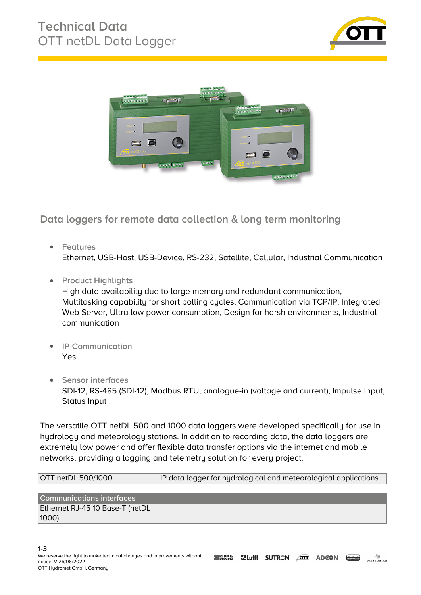



**Data loggers for remote data collection & long term monitoring**

- **Features** Ethernet, USB-Host, USB-Device, RS-232, Satellite, Cellular, Industrial Communication
- **Product Highlights**

High data availability due to large memory and redundant communication, Multitasking capability for short polling cycles, Communication via TCP/IP, Integrated Web Server, Ultra low power consumption, Design for harsh environments, Industrial communication

- **IP-Communication** Yes
- **•** Sensor interfaces SDI-12, RS-485 (SDI-12), Modbus RTU, analogue-in (voltage and current), Impulse Input, Status Input

The versatile OTT netDL 500 and 1000 data loggers were developed specifically for use in hydrology and meteorology stations. In addition to recording data, the data loggers are extremely low power and offer flexible data transfer options via the internet and mobile networks, providing a logging and telemetry solution for every project.

| OTT netDL 500/1000 | IP data logger for hydrological and meteorological applications |
|--------------------|-----------------------------------------------------------------|
|                    |                                                                 |

| <b>Communications interfaces</b> |  |
|----------------------------------|--|
| Ethernet RJ-45 10 Base-T (netDL  |  |
| $ 1000\rangle$                   |  |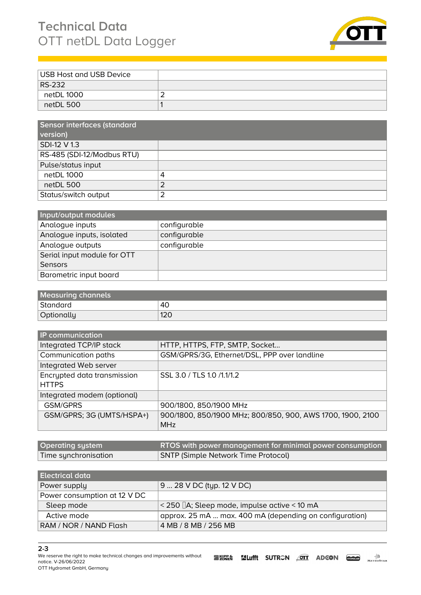## **Technical Data** OTT netDL Data Logger



| USB Host and USB Device |  |
|-------------------------|--|
| RS-232                  |  |
| netDL 1000              |  |
| netDL 500               |  |

| Sensor interfaces (standard |   |
|-----------------------------|---|
| version)                    |   |
| SDI-12 V 1.3                |   |
| RS-485 (SDI-12/Modbus RTU)  |   |
| Pulse/status input          |   |
| netDL 1000                  | 4 |
| netDL 500                   | っ |
| Status/switch output        |   |

| Input/output modules        |              |
|-----------------------------|--------------|
| Analogue inputs             | configurable |
| Analogue inputs, isolated   | configurable |
| Analogue outputs            | configurable |
| Serial input module for OTT |              |
| Sensors                     |              |
| Barometric input board      |              |

| <b>Measuring channels</b> |     |
|---------------------------|-----|
| Standard                  | 40  |
| Optionally                | 120 |

| <b>IP</b> communication     |                                                            |
|-----------------------------|------------------------------------------------------------|
| Integrated TCP/IP stack     | HTTP, HTTPS, FTP, SMTP, Socket                             |
| Communication paths         | GSM/GPRS/3G, Ethernet/DSL, PPP over landline               |
| Integrated Web server       |                                                            |
| Encrypted data transmission | SSL 3.0 / TLS 1.0 /1.1/1.2                                 |
| <b>HTTPS</b>                |                                                            |
| Integrated modem (optional) |                                                            |
| <b>GSM/GPRS</b>             | 900/1800, 850/1900 MHz                                     |
| GSM/GPRS; 3G (UMTS/HSPA+)   | 900/1800, 850/1900 MHz; 800/850, 900, AWS 1700, 1900, 2100 |
|                             | <b>MHz</b>                                                 |
|                             |                                                            |

| <b>Operating system</b> | RTOS with power management for minimal power consumption |
|-------------------------|----------------------------------------------------------|
| Time synchronisation    | <b>SNTP (Simple Network Time Protocol)</b>               |

| l Electrical data            |                                                            |
|------------------------------|------------------------------------------------------------|
| Power supply                 | 9  28 V DC (typ. 12 V DC)                                  |
| Power consumption at 12 V DC |                                                            |
| Sleep mode                   | $\approx$ 250 []A; Sleep mode, impulse active $\leq$ 10 mA |
| Active mode                  | approx. 25 mA  max. 400 mA (depending on configuration)    |
| RAM / NOR / NAND Flash       | 4 MB / 8 MB / 256 MB                                       |

**<sup>2-3</sup>**

*We reserve the right to make technical changes and improvements without* **EXIPPS SULIfft SUTRON OTT ADGON COOPS ARTICOSTAR** *notice. V-26/06/2022 OTT Hydromet GmbH, Germany*